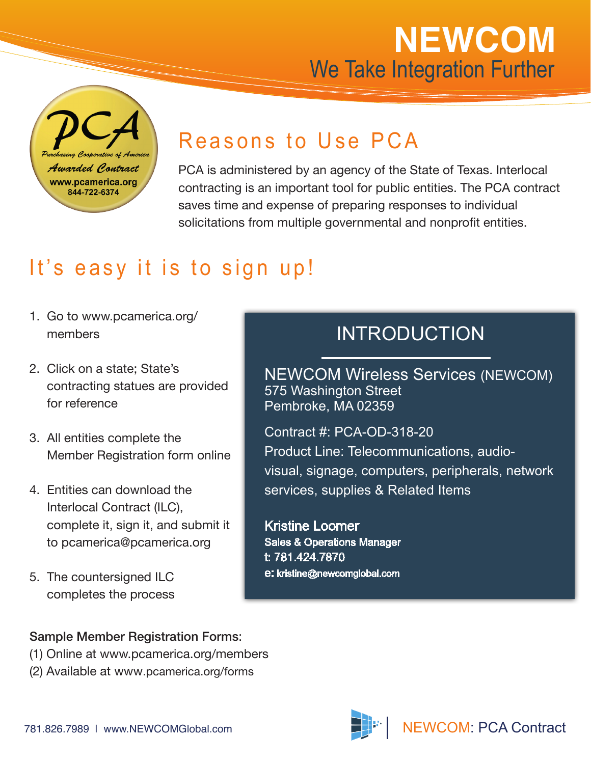# **NEWCOM** We Take Integration Further

rerative of Awarded Contract www.pcamerica.org 844-722-6374

### Reasons to Use PCA

PCA is administered by an agency of the State of Texas. Interlocal contracting is an important tool for public entities. The PCA contract saves time and expense of preparing responses to individual solicitations from multiple governmental and nonprofit entities.

## It's easy it is to sign up!

- 1. Go to www.pcamerica.org/ members
- 2. Click on a state; State's contracting statues are provided for reference
- 3. All entities complete the Member Registration form online
- 4. Entities can download the Interlocal Contract (ILC), complete it, sign it, and submit it to pcamerica@pcamerica.org
- 5. The countersigned ILC completes the process

#### INTRODUCTION

NEWCOM Wireless Services (NEWCOM) 575 Washington Street Pembroke, MA 02359

Contract #: PCA-OD-318-20

Product Line: Telecommunications, audiovisual, signage, computers, peripherals, network services, supplies & Related Items

Kristine Loomer Sales & Operations Manager t: 781.424.7870 e: kristine@newcomglobal.com

#### Sample Member Registration Forms:

- (1) Online at www.pcamerica.org/members
- (2) Available at www.pcamerica.org/forms